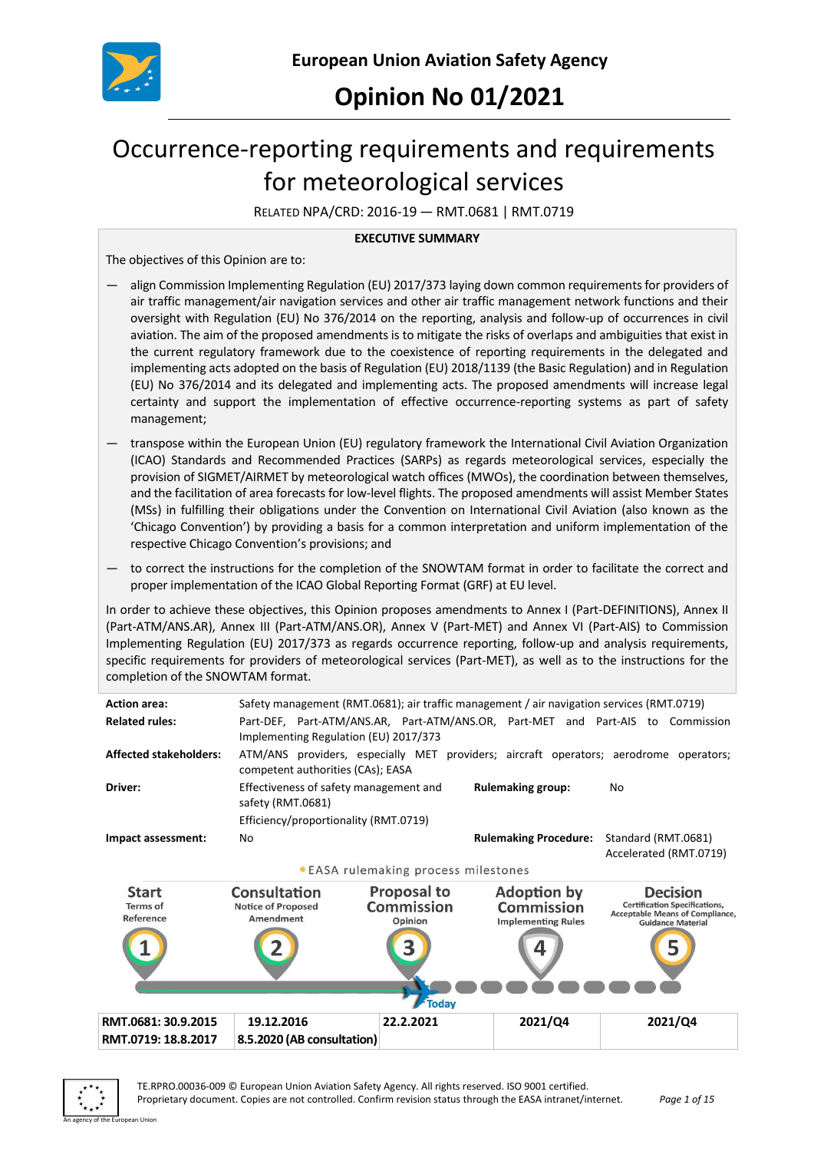

# **Opinion No 01/2021**

# Occurrence-reporting requirements and requirements for meteorological services

RELATED NPA/CRD: 2016-19 — RMT.0681 | RMT.0719

#### **EXECUTIVE SUMMARY**

The objectives of this Opinion are to:

- align Commission Implementing Regulation (EU) 2017/373 laying down common requirements for providers of air traffic management/air navigation services and other air traffic management network functions and their oversight with Regulation (EU) No 376/2014 on the reporting, analysis and follow-up of occurrences in civil aviation. The aim of the proposed amendments is to mitigate the risks of overlaps and ambiguities that exist in the current regulatory framework due to the coexistence of reporting requirements in the delegated and implementing acts adopted on the basis of Regulation (EU) 2018/1139 (the Basic Regulation) and in Regulation (EU) No 376/2014 and its delegated and implementing acts. The proposed amendments will increase legal certainty and support the implementation of effective occurrence-reporting systems as part of safety management;
- transpose within the European Union (EU) regulatory framework the International Civil Aviation Organization (ICAO) Standards and Recommended Practices (SARPs) as regards meteorological services, especially the provision of SIGMET/AIRMET by meteorological watch offices (MWOs), the coordination between themselves, and the facilitation of area forecasts for low-level flights. The proposed amendments will assist Member States (MSs) in fulfilling their obligations under the Convention on International Civil Aviation (also known as the 'Chicago Convention') by providing a basis for a common interpretation and uniform implementation of the respective Chicago Convention's provisions; and
- to correct the instructions for the completion of the SNOWTAM format in order to facilitate the correct and proper implementation of the ICAO Global Reporting Format (GRF) at EU level.

In order to achieve these objectives, this Opinion proposes amendments to Annex I (Part-DEFINITIONS), Annex II (Part-ATM/ANS.AR), Annex III (Part-ATM/ANS.OR), Annex V (Part-MET) and Annex VI (Part-AIS) to Commission Implementing Regulation (EU) 2017/373 as regards occurrence reporting, follow-up and analysis requirements, specific requirements for providers of meteorological services (Part-MET), as well as to the instructions for the completion of the SNOWTAM format.

| <b>Action area:</b>                   |                                                             |                                                    | Safety management (RMT.0681); air traffic management / air navigation services (RMT.0719) |                                                                                                                               |
|---------------------------------------|-------------------------------------------------------------|----------------------------------------------------|-------------------------------------------------------------------------------------------|-------------------------------------------------------------------------------------------------------------------------------|
| <b>Related rules:</b>                 | Implementing Regulation (EU) 2017/373                       |                                                    |                                                                                           | Part-DEF, Part-ATM/ANS.AR, Part-ATM/ANS.OR, Part-MET and Part-AIS to Commission                                               |
| <b>Affected stakeholders:</b>         | competent authorities (CAs); EASA                           |                                                    |                                                                                           | ATM/ANS providers, especially MET providers; aircraft operators; aerodrome operators;                                         |
| Driver:                               | Effectiveness of safety management and<br>safety (RMT.0681) |                                                    | <b>Rulemaking group:</b>                                                                  | No                                                                                                                            |
|                                       | Efficiency/proportionality (RMT.0719)                       |                                                    |                                                                                           |                                                                                                                               |
| Impact assessment:                    | No                                                          |                                                    | <b>Rulemaking Procedure:</b>                                                              | Standard (RMT.0681)<br>Accelerated (RMT.0719)                                                                                 |
|                                       |                                                             | • EASA rulemaking process milestones               |                                                                                           |                                                                                                                               |
| <b>Start</b><br>Terms of<br>Reference | Consultation<br><b>Notice of Proposed</b><br>Amendment      | <b>Proposal to</b><br><b>Commission</b><br>Opinion | <b>Adoption by</b><br><b>Commission</b><br><b>Implementing Rules</b>                      | <b>Decision</b><br><b>Certification Specifications,</b><br><b>Acceptable Means of Compliance,</b><br><b>Guidance Material</b> |
|                                       |                                                             |                                                    |                                                                                           |                                                                                                                               |
|                                       |                                                             | <b>Today</b>                                       |                                                                                           |                                                                                                                               |
| RMT.0681: 30.9.2015                   | 19.12.2016                                                  | 22.2.2021                                          | 2021/Q4                                                                                   | 2021/Q4                                                                                                                       |
| RMT.0719: 18.8.2017                   | 8.5.2020 (AB consultation)                                  |                                                    |                                                                                           |                                                                                                                               |
|                                       |                                                             |                                                    |                                                                                           |                                                                                                                               |

An agency of the European Union

TE.RPRO.00036-009 © European Union Aviation Safety Agency. All rights reserved. ISO 9001 certified. Proprietary document. Copies are not controlled. Confirm revision status through the EASA intranet/internet. *Page 1 of 15*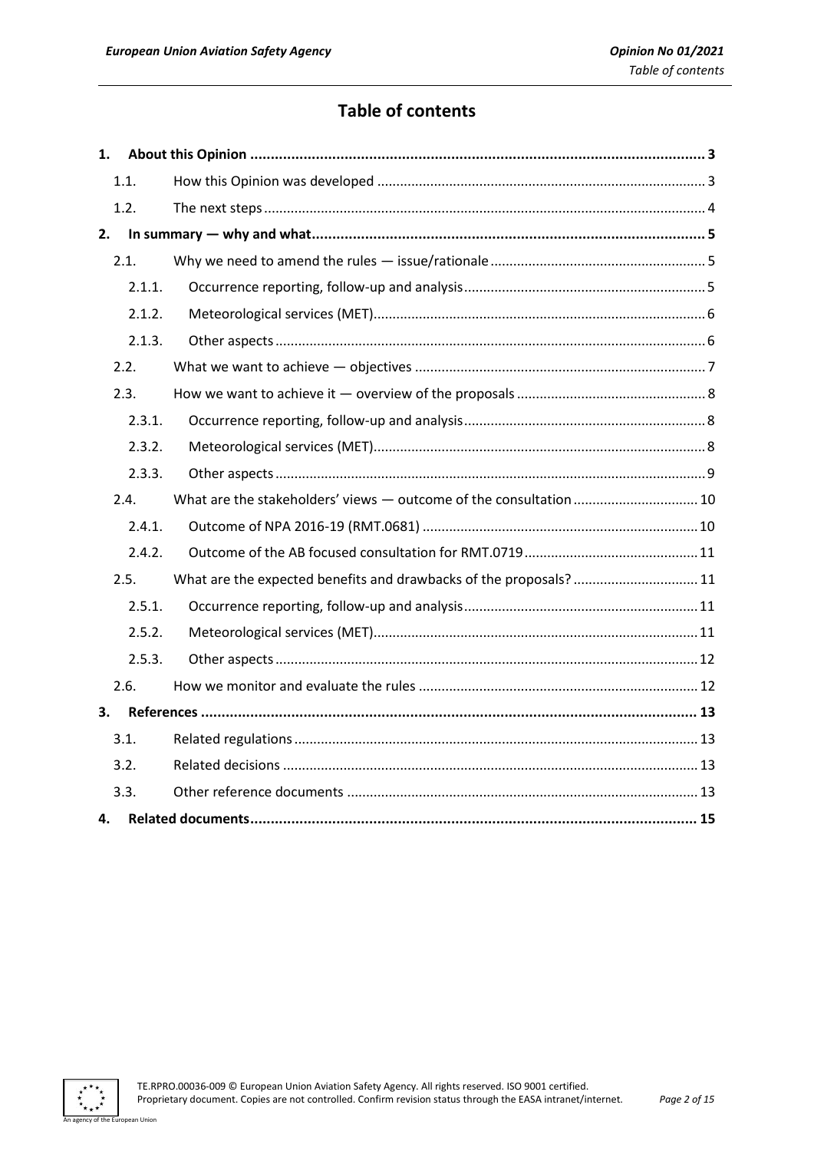# **Table of contents**

| 1. |        |                                                                    |
|----|--------|--------------------------------------------------------------------|
|    | 1.1.   |                                                                    |
|    | 1.2.   |                                                                    |
| 2. |        |                                                                    |
|    | 2.1.   |                                                                    |
|    | 2.1.1. |                                                                    |
|    | 2.1.2. |                                                                    |
|    | 2.1.3. |                                                                    |
|    | 2.2.   |                                                                    |
|    | 2.3.   |                                                                    |
|    | 2.3.1. |                                                                    |
|    | 2.3.2. |                                                                    |
|    | 2.3.3. |                                                                    |
|    | 2.4.   | What are the stakeholders' views - outcome of the consultation  10 |
|    | 2.4.1. |                                                                    |
|    | 2.4.2. |                                                                    |
|    | 2.5.   | What are the expected benefits and drawbacks of the proposals?  11 |
|    | 2.5.1. |                                                                    |
|    | 2.5.2. |                                                                    |
|    | 2.5.3. |                                                                    |
|    | 2.6.   |                                                                    |
| 3. |        |                                                                    |
|    | 3.1.   |                                                                    |
|    | 3.2.   |                                                                    |
|    | 3.3.   |                                                                    |
| 4. |        |                                                                    |

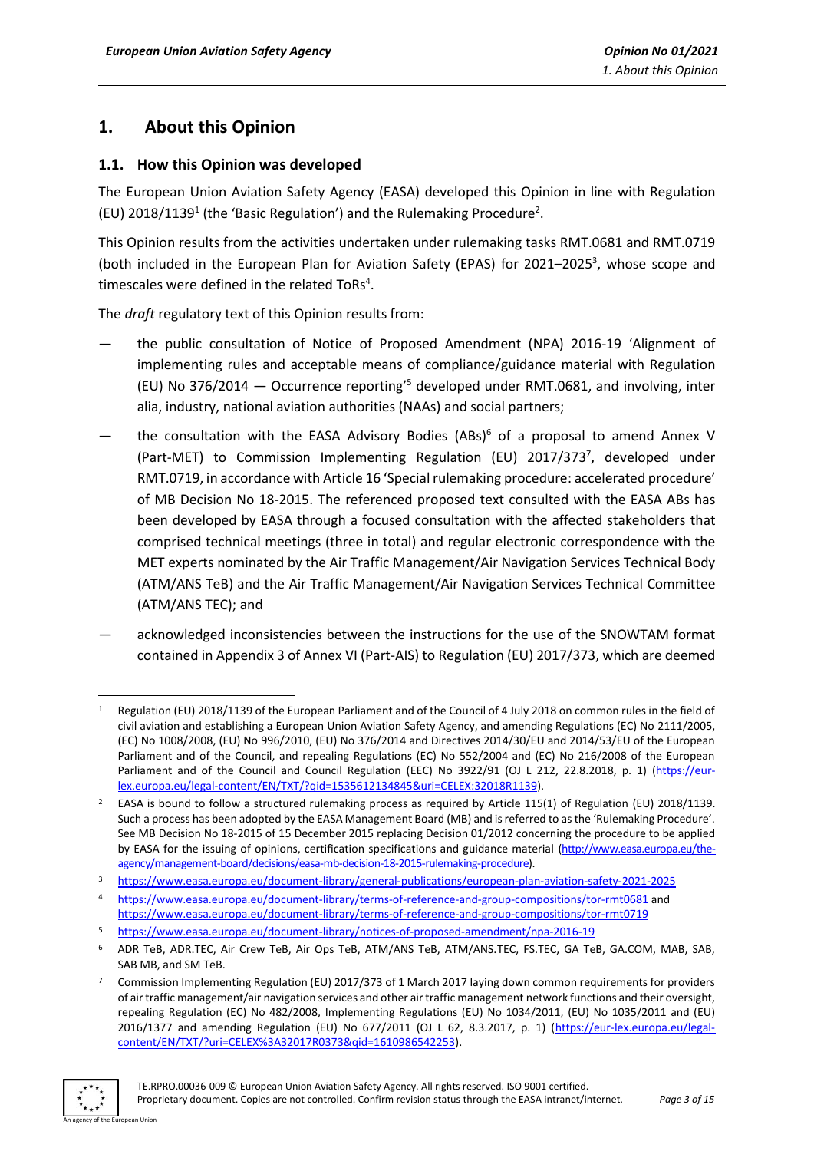# <span id="page-2-0"></span>**1. About this Opinion**

# <span id="page-2-1"></span>**1.1. How this Opinion was developed**

The European Union Aviation Safety Agency (EASA) developed this Opinion in line with Regulation (EU) 2018/1139<sup>1</sup> (the 'Basic Regulation') and the Rulemaking Procedure<sup>2</sup>.

This Opinion results from the activities undertaken under rulemaking tasks RMT.0681 and RMT.0719 (both included in the European Plan for Aviation Safety (EPAS) for 2021-2025<sup>3</sup>, whose scope and timescales were defined in the related ToRs<sup>4</sup>.

The *draft* regulatory text of this Opinion results from:

- the public consultation of Notice of Proposed Amendment (NPA) 2016-19 'Alignment of implementing rules and acceptable means of compliance/guidance material with Regulation (EU) No 376/2014 — Occurrence reporting' <sup>5</sup> developed under RMT.0681, and involving, inter alia, industry, national aviation authorities (NAAs) and social partners;
- the consultation with the EASA Advisory Bodies (ABs)<sup>6</sup> of a proposal to amend Annex V (Part-MET) to Commission Implementing Regulation (EU) 2017/373<sup>7</sup>, developed under RMT.0719, in accordance with Article 16 'Special rulemaking procedure: accelerated procedure' of MB Decision No 18-2015. The referenced proposed text consulted with the EASA ABs has been developed by EASA through a focused consultation with the affected stakeholders that comprised technical meetings (three in total) and regular electronic correspondence with the MET experts nominated by the Air Traffic Management/Air Navigation Services Technical Body (ATM/ANS TeB) and the Air Traffic Management/Air Navigation Services Technical Committee (ATM/ANS TEC); and
- acknowledged inconsistencies between the instructions for the use of the SNOWTAM format contained in Appendix 3 of Annex VI (Part-AIS) to Regulation (EU) 2017/373, which are deemed

<sup>7</sup> Commission Implementing Regulation (EU) 2017/373 of 1 March 2017 laying down common requirements for providers of air traffic management/air navigation services and other air traffic management network functions and their oversight, repealing Regulation (EC) No 482/2008, Implementing Regulations (EU) No 1034/2011, (EU) No 1035/2011 and (EU) 2016/1377 and amending Regulation (EU) No 677/2011 (OJ L 62, 8.3.2017, p. 1) [\(https://eur-lex.europa.eu/legal](https://eur-lex.europa.eu/legal-content/EN/TXT/?uri=CELEX%3A32017R0373&qid=1610986542253)[content/EN/TXT/?uri=CELEX%3A32017R0373&qid=1610986542253\)](https://eur-lex.europa.eu/legal-content/EN/TXT/?uri=CELEX%3A32017R0373&qid=1610986542253).



<sup>1</sup> Regulation (EU) 2018/1139 of the European Parliament and of the Council of 4 July 2018 on common rules in the field of civil aviation and establishing a European Union Aviation Safety Agency, and amending Regulations (EC) No 2111/2005, (EC) No 1008/2008, (EU) No 996/2010, (EU) No 376/2014 and Directives 2014/30/EU and 2014/53/EU of the European Parliament and of the Council, and repealing Regulations (EC) No 552/2004 and (EC) No 216/2008 of the European Parliament and of the Council and Council Regulation (EEC) No 3922/91 (OJ L 212, 22.8.2018, p. 1) [\(https://eur](https://eur-lex.europa.eu/legal-content/EN/TXT/?qid=1535612134845&uri=CELEX:32018R1139)[lex.europa.eu/legal-content/EN/TXT/?qid=1535612134845&uri=CELEX:32018R1139\)](https://eur-lex.europa.eu/legal-content/EN/TXT/?qid=1535612134845&uri=CELEX:32018R1139).

<sup>&</sup>lt;sup>2</sup> EASA is bound to follow a structured rulemaking process as required by Article 115(1) of Regulation (EU) 2018/1139. Such a process has been adopted by the EASA Management Board (MB) and is referred to as the 'Rulemaking Procedure'. See MB Decision No 18-2015 of 15 December 2015 replacing Decision 01/2012 concerning the procedure to be applied by EASA for the issuing of opinions, certification specifications and guidance material [\(http://www.easa.europa.eu/the](http://www.easa.europa.eu/the-agency/management-board/decisions/easa-mb-decision-18-2015-rulemaking-procedure)[agency/management-board/decisions/easa-mb-decision-18-2015-rulemaking-procedure\)](http://www.easa.europa.eu/the-agency/management-board/decisions/easa-mb-decision-18-2015-rulemaking-procedure).

<sup>3</sup> <https://www.easa.europa.eu/document-library/general-publications/european-plan-aviation-safety-2021-2025>

<sup>4</sup> <https://www.easa.europa.eu/document-library/terms-of-reference-and-group-compositions/tor-rmt0681> and <https://www.easa.europa.eu/document-library/terms-of-reference-and-group-compositions/tor-rmt0719>

<sup>5</sup> <https://www.easa.europa.eu/document-library/notices-of-proposed-amendment/npa-2016-19>

<sup>6</sup> ADR TeB, ADR.TEC, Air Crew TeB, Air Ops TeB, ATM/ANS TeB, ATM/ANS.TEC, FS.TEC, GA TeB, GA.COM, MAB, SAB, SAB MB, and SM TeB.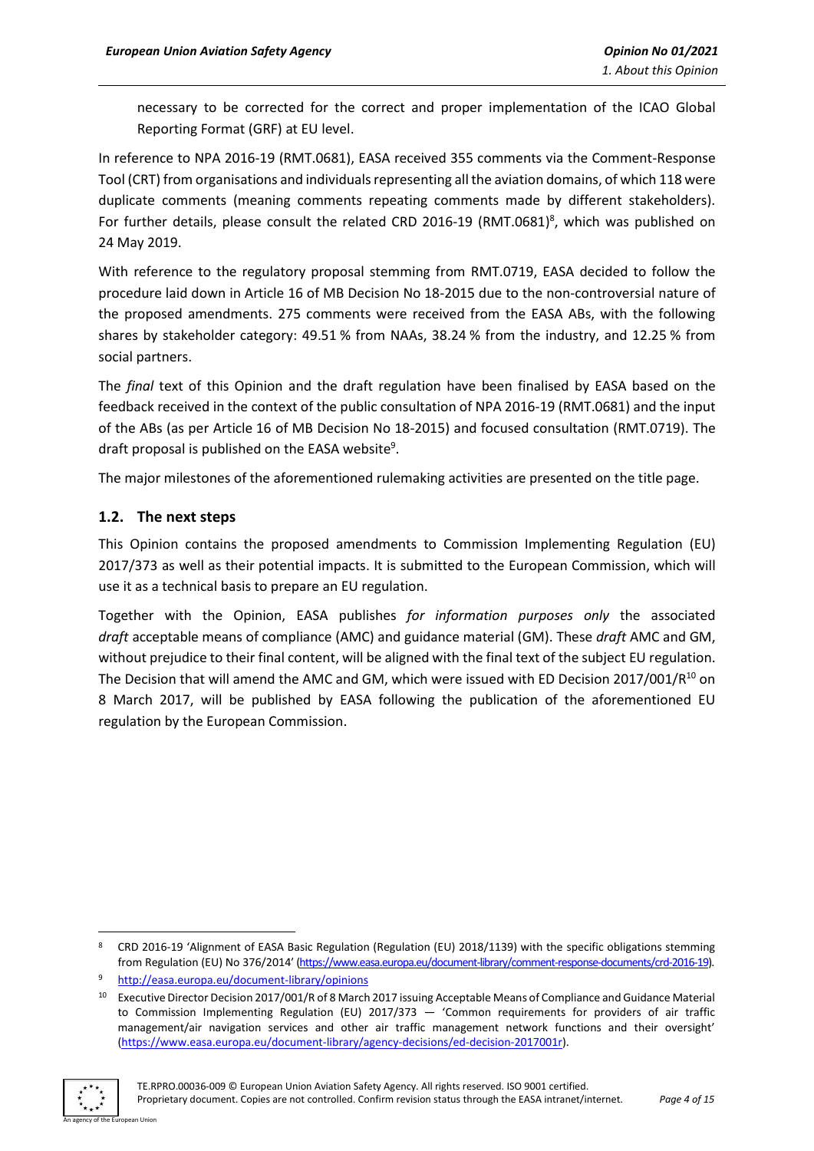necessary to be corrected for the correct and proper implementation of the ICAO Global Reporting Format (GRF) at EU level.

In reference to NPA 2016-19 (RMT.0681), EASA received 355 comments via the Comment-Response Tool (CRT) from organisations and individuals representing all the aviation domains, of which 118 were duplicate comments (meaning comments repeating comments made by different stakeholders). For further details, please consult the related CRD 2016-19 (RMT.0681)<sup>8</sup>, which was published on 24 May 2019.

With reference to the regulatory proposal stemming from RMT.0719, EASA decided to follow the procedure laid down in Article 16 of MB Decision No 18-2015 due to the non-controversial nature of the proposed amendments. 275 comments were received from the EASA ABs, with the following shares by stakeholder category: 49.51 % from NAAs, 38.24 % from the industry, and 12.25 % from social partners.

The *final* text of this Opinion and the draft regulation have been finalised by EASA based on the feedback received in the context of the public consultation of NPA 2016-19 (RMT.0681) and the input of the ABs (as per Article 16 of MB Decision No 18-2015) and focused consultation (RMT.0719). The draft proposal is published on the EASA website<sup>9</sup>.

The major milestones of the aforementioned rulemaking activities are presented on the title page.

# <span id="page-3-0"></span>**1.2. The next steps**

This Opinion contains the proposed amendments to Commission Implementing Regulation (EU) 2017/373 as well as their potential impacts. It is submitted to the European Commission, which will use it as a technical basis to prepare an EU regulation.

Together with the Opinion, EASA publishes *for information purposes only* the associated *draft* acceptable means of compliance (AMC) and guidance material (GM). These *draft* AMC and GM, without prejudice to their final content, will be aligned with the final text of the subject EU regulation. The Decision that will amend the AMC and GM, which were issued with ED Decision 2017/001/R<sup>10</sup> on 8 March 2017, will be published by EASA following the publication of the aforementioned EU regulation by the European Commission.

<sup>&</sup>lt;sup>10</sup> Executive Director Decision 2017/001/R of 8 March 2017 issuing Acceptable Means of Compliance and Guidance Material to Commission Implementing Regulation (EU) 2017/373 — 'Common requirements for providers of air traffic management/air navigation services and other air traffic management network functions and their oversight' [\(https://www.easa.europa.eu/document-library/agency-decisions/ed-decision-2017001r\)](https://www.easa.europa.eu/document-library/agency-decisions/ed-decision-2017001r).



<sup>8</sup> CRD 2016-19 'Alignment of EASA Basic Regulation (Regulation (EU) 2018/1139) with the specific obligations stemming from Regulation (EU) No 376/2014' [\(https://www.easa.europa.eu/document-library/comment-response-documents/crd-2016-19\)](https://www.easa.europa.eu/document-library/comment-response-documents/crd-2016-19).

<sup>9</sup> <http://easa.europa.eu/document-library/opinions>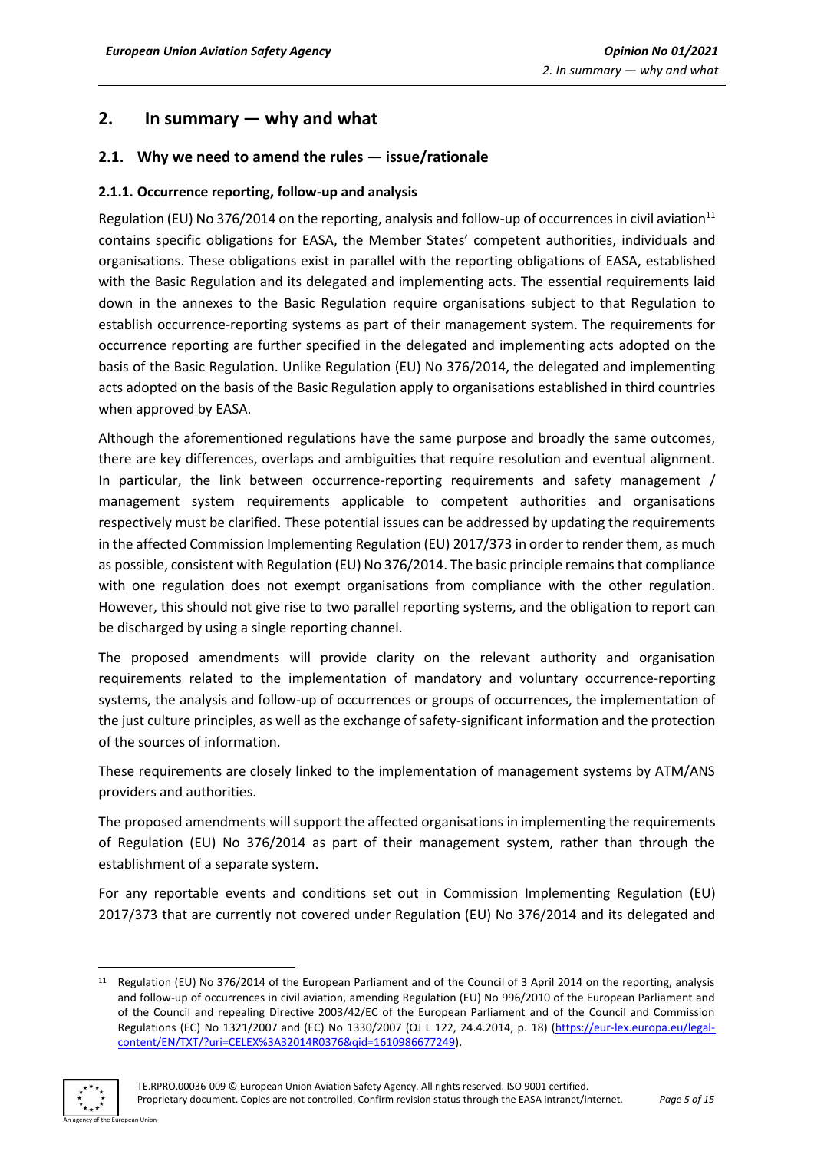# <span id="page-4-0"></span>**2. In summary — why and what**

# <span id="page-4-1"></span>**2.1. Why we need to amend the rules — issue/rationale**

## <span id="page-4-2"></span>**2.1.1. Occurrence reporting, follow-up and analysis**

Regulation (EU) No 376/2014 on the reporting, analysis and follow-up of occurrences in civil aviation<sup>11</sup> contains specific obligations for EASA, the Member States' competent authorities, individuals and organisations. These obligations exist in parallel with the reporting obligations of EASA, established with the Basic Regulation and its delegated and implementing acts. The essential requirements laid down in the annexes to the Basic Regulation require organisations subject to that Regulation to establish occurrence-reporting systems as part of their management system. The requirements for occurrence reporting are further specified in the delegated and implementing acts adopted on the basis of the Basic Regulation. Unlike Regulation (EU) No 376/2014, the delegated and implementing acts adopted on the basis of the Basic Regulation apply to organisations established in third countries when approved by EASA.

Although the aforementioned regulations have the same purpose and broadly the same outcomes, there are key differences, overlaps and ambiguities that require resolution and eventual alignment. In particular, the link between occurrence-reporting requirements and safety management / management system requirements applicable to competent authorities and organisations respectively must be clarified. These potential issues can be addressed by updating the requirements in the affected Commission Implementing Regulation (EU) 2017/373 in order to render them, as much as possible, consistent with Regulation (EU) No 376/2014. The basic principle remains that compliance with one regulation does not exempt organisations from compliance with the other regulation. However, this should not give rise to two parallel reporting systems, and the obligation to report can be discharged by using a single reporting channel.

The proposed amendments will provide clarity on the relevant authority and organisation requirements related to the implementation of mandatory and voluntary occurrence-reporting systems, the analysis and follow-up of occurrences or groups of occurrences, the implementation of the just culture principles, as well as the exchange of safety-significant information and the protection of the sources of information.

These requirements are closely linked to the implementation of management systems by ATM/ANS providers and authorities.

The proposed amendments will support the affected organisations in implementing the requirements of Regulation (EU) No 376/2014 as part of their management system, rather than through the establishment of a separate system.

For any reportable events and conditions set out in Commission Implementing Regulation (EU) 2017/373 that are currently not covered under Regulation (EU) No 376/2014 and its delegated and

<sup>&</sup>lt;sup>11</sup> Regulation (EU) No 376/2014 of the European Parliament and of the Council of 3 April 2014 on the reporting, analysis and follow-up of occurrences in civil aviation, amending Regulation (EU) No 996/2010 of the European Parliament and of the Council and repealing Directive 2003/42/EC of the European Parliament and of the Council and Commission Regulations (EC) No 1321/2007 and (EC) No 1330/2007 (OJ L 122, 24.4.2014, p. 18) [\(https://eur-lex.europa.eu/legal](https://eur-lex.europa.eu/legal-content/EN/TXT/?uri=CELEX%3A32014R0376&qid=1610986677249)[content/EN/TXT/?uri=CELEX%3A32014R0376&qid=1610986677249\)](https://eur-lex.europa.eu/legal-content/EN/TXT/?uri=CELEX%3A32014R0376&qid=1610986677249).

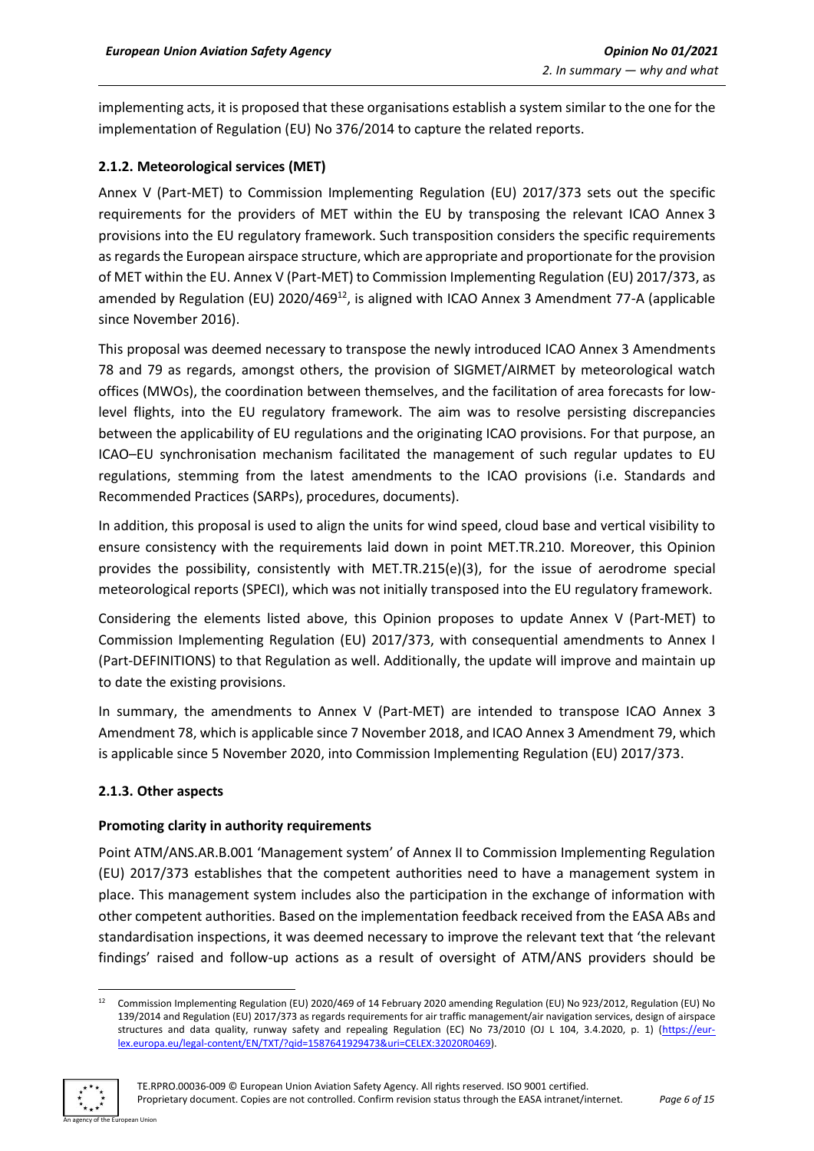implementing acts, it is proposed that these organisations establish a system similar to the one for the implementation of Regulation (EU) No 376/2014 to capture the related reports.

# <span id="page-5-0"></span>**2.1.2. Meteorological services (MET)**

Annex V (Part-MET) to Commission Implementing Regulation (EU) 2017/373 sets out the specific requirements for the providers of MET within the EU by transposing the relevant ICAO Annex 3 provisions into the EU regulatory framework. Such transposition considers the specific requirements as regards the European airspace structure, which are appropriate and proportionate for the provision of MET within the EU. Annex V (Part-MET) to Commission Implementing Regulation (EU) 2017/373, as amended by Regulation (EU)  $2020/469^{12}$ , is aligned with ICAO Annex 3 Amendment 77-A (applicable since November 2016).

This proposal was deemed necessary to transpose the newly introduced ICAO Annex 3 Amendments 78 and 79 as regards, amongst others, the provision of SIGMET/AIRMET by meteorological watch offices (MWOs), the coordination between themselves, and the facilitation of area forecasts for lowlevel flights, into the EU regulatory framework. The aim was to resolve persisting discrepancies between the applicability of EU regulations and the originating ICAO provisions. For that purpose, an ICAO–EU synchronisation mechanism facilitated the management of such regular updates to EU regulations, stemming from the latest amendments to the ICAO provisions (i.e. Standards and Recommended Practices (SARPs), procedures, documents).

In addition, this proposal is used to align the units for wind speed, cloud base and vertical visibility to ensure consistency with the requirements laid down in point MET.TR.210. Moreover, this Opinion provides the possibility, consistently with MET.TR.215(e)(3), for the issue of aerodrome special meteorological reports (SPECI), which was not initially transposed into the EU regulatory framework.

Considering the elements listed above, this Opinion proposes to update Annex V (Part-MET) to Commission Implementing Regulation (EU) 2017/373, with consequential amendments to Annex I (Part-DEFINITIONS) to that Regulation as well. Additionally, the update will improve and maintain up to date the existing provisions.

In summary, the amendments to Annex V (Part-MET) are intended to transpose ICAO Annex 3 Amendment 78, which is applicable since 7 November 2018, and ICAO Annex 3 Amendment 79, which is applicable since 5 November 2020, into Commission Implementing Regulation (EU) 2017/373.

# <span id="page-5-1"></span>**2.1.3. Other aspects**

# **Promoting clarity in authority requirements**

Point ATM/ANS.AR.B.001 'Management system' of Annex II to Commission Implementing Regulation (EU) 2017/373 establishes that the competent authorities need to have a management system in place. This management system includes also the participation in the exchange of information with other competent authorities. Based on the implementation feedback received from the EASA ABs and standardisation inspections, it was deemed necessary to improve the relevant text that 'the relevant findings' raised and follow-up actions as a result of oversight of ATM/ANS providers should be

<sup>&</sup>lt;sup>12</sup> Commission Implementing Regulation (EU) 2020/469 of 14 February 2020 amending Regulation (EU) No 923/2012, Regulation (EU) No 139/2014 and Regulation (EU) 2017/373 as regards requirements for air traffic management/air navigation services, design of airspace structures and data quality, runway safety and repealing Regulation (EC) No 73/2010 (OJ L 104, 3.4.2020, p. 1) [\(https://eur](https://eur-lex.europa.eu/legal-content/EN/TXT/?qid=1587641929473&uri=CELEX:32020R0469)[lex.europa.eu/legal-content/EN/TXT/?qid=1587641929473&uri=CELEX:32020R0469\)](https://eur-lex.europa.eu/legal-content/EN/TXT/?qid=1587641929473&uri=CELEX:32020R0469).

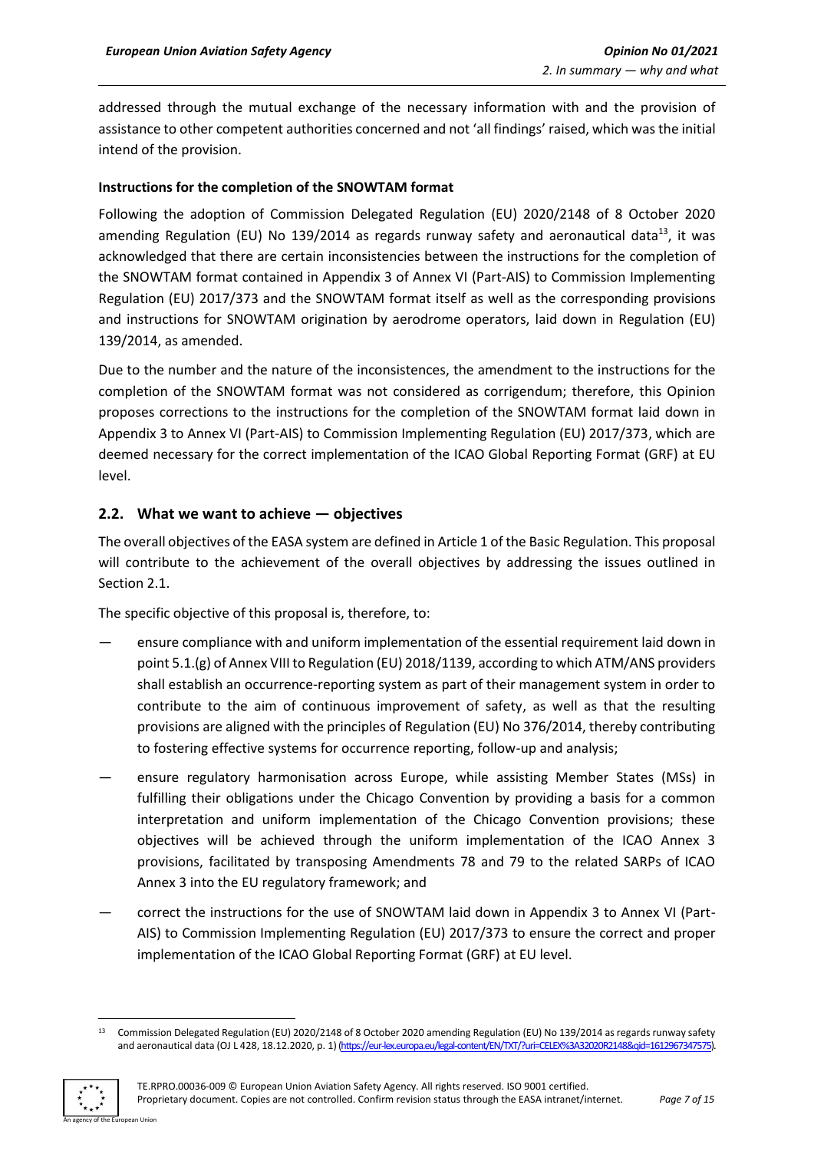addressed through the mutual exchange of the necessary information with and the provision of assistance to other competent authorities concerned and not 'all findings' raised, which was the initial intend of the provision.

#### **Instructions for the completion of the SNOWTAM format**

Following the adoption of Commission Delegated Regulation (EU) 2020/2148 of 8 October 2020 amending Regulation (EU) No 139/2014 as regards runway safety and aeronautical data $^{13}$ , it was acknowledged that there are certain inconsistencies between the instructions for the completion of the SNOWTAM format contained in Appendix 3 of Annex VI (Part-AIS) to Commission Implementing Regulation (EU) 2017/373 and the SNOWTAM format itself as well as the corresponding provisions and instructions for SNOWTAM origination by aerodrome operators, laid down in Regulation (EU) 139/2014, as amended.

Due to the number and the nature of the inconsistences, the amendment to the instructions for the completion of the SNOWTAM format was not considered as corrigendum; therefore, this Opinion proposes corrections to the instructions for the completion of the SNOWTAM format laid down in Appendix 3 to Annex VI (Part-AIS) to Commission Implementing Regulation (EU) 2017/373, which are deemed necessary for the correct implementation of the ICAO Global Reporting Format (GRF) at EU level.

# <span id="page-6-0"></span>**2.2. What we want to achieve — objectives**

The overall objectives of the EASA system are defined in Article 1 of the Basic Regulation. This proposal will contribute to the achievement of the overall objectives by addressing the issues outlined in Section 2.1.

The specific objective of this proposal is, therefore, to:

- ensure compliance with and uniform implementation of the essential requirement laid down in point 5.1.(g) of Annex VIII to Regulation (EU) 2018/1139, according to which ATM/ANS providers shall establish an occurrence-reporting system as part of their management system in order to contribute to the aim of continuous improvement of safety, as well as that the resulting provisions are aligned with the principles of Regulation (EU) No 376/2014, thereby contributing to fostering effective systems for occurrence reporting, follow-up and analysis;
- ensure regulatory harmonisation across Europe, while assisting Member States (MSs) in fulfilling their obligations under the Chicago Convention by providing a basis for a common interpretation and uniform implementation of the Chicago Convention provisions; these objectives will be achieved through the uniform implementation of the ICAO Annex 3 provisions, facilitated by transposing Amendments 78 and 79 to the related SARPs of ICAO Annex 3 into the EU regulatory framework; and
- correct the instructions for the use of SNOWTAM laid down in Appendix 3 to Annex VI (Part-AIS) to Commission Implementing Regulation (EU) 2017/373 to ensure the correct and proper implementation of the ICAO Global Reporting Format (GRF) at EU level.

<sup>&</sup>lt;sup>13</sup> Commission Delegated Regulation (EU) 2020/2148 of 8 October 2020 amending Regulation (EU) No 139/2014 as regards runway safety and aeronautical data (OJ L 428, 18.12.2020, p. 1) [\(https://eur-lex.europa.eu/legal-content/EN/TXT/?uri=CELEX%3A32020R2148&qid=1612967347575\)](https://eur-lex.europa.eu/legal-content/EN/TXT/?uri=CELEX%3A32020R2148&qid=1612967347575).

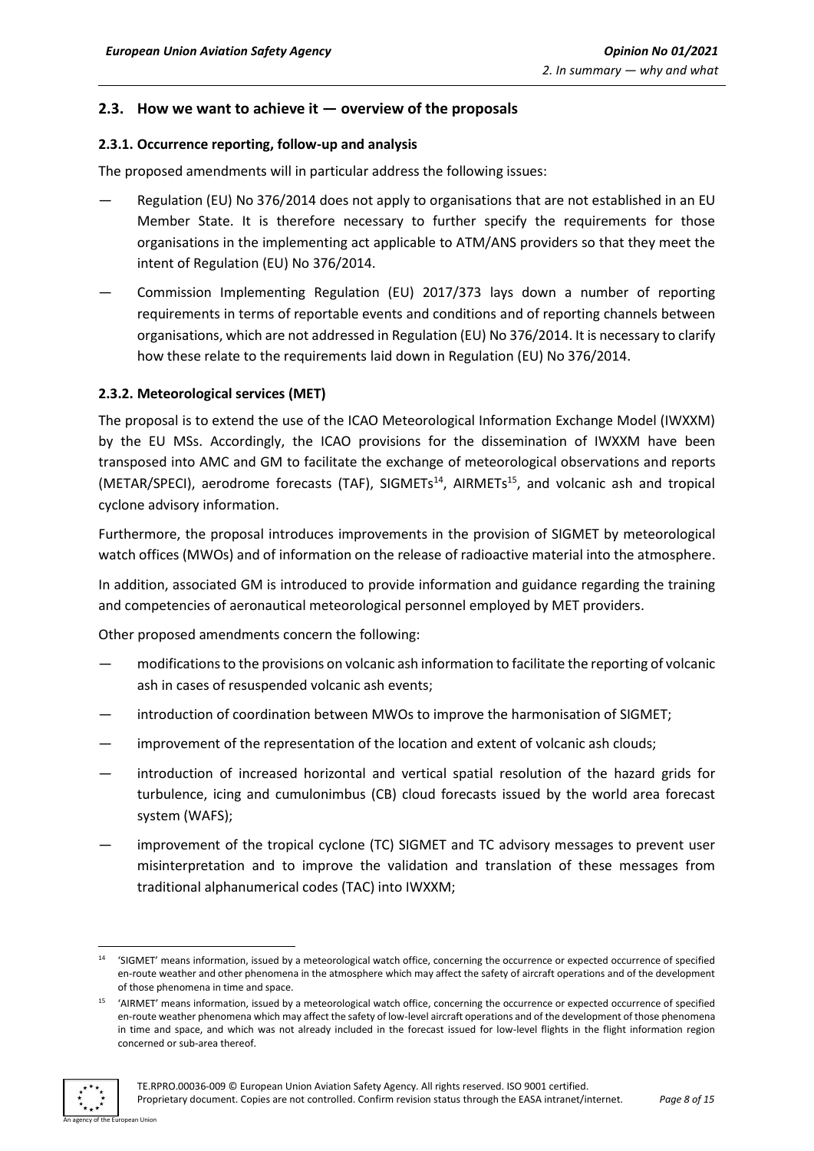## <span id="page-7-0"></span>**2.3. How we want to achieve it — overview of the proposals**

#### <span id="page-7-1"></span>**2.3.1. Occurrence reporting, follow-up and analysis**

The proposed amendments will in particular address the following issues:

- Regulation (EU) No 376/2014 does not apply to organisations that are not established in an EU Member State. It is therefore necessary to further specify the requirements for those organisations in the implementing act applicable to ATM/ANS providers so that they meet the intent of Regulation (EU) No 376/2014.
- Commission Implementing Regulation (EU) 2017/373 lays down a number of reporting requirements in terms of reportable events and conditions and of reporting channels between organisations, which are not addressed in Regulation (EU) No 376/2014. It is necessary to clarify how these relate to the requirements laid down in Regulation (EU) No 376/2014.

#### <span id="page-7-2"></span>**2.3.2. Meteorological services (MET)**

The proposal is to extend the use of the ICAO Meteorological Information Exchange Model (IWXXM) by the EU MSs. Accordingly, the ICAO provisions for the dissemination of IWXXM have been transposed into AMC and GM to facilitate the exchange of meteorological observations and reports (METAR/SPECI), aerodrome forecasts (TAF), SIGMETs<sup>14</sup>, AIRMETs<sup>15</sup>, and volcanic ash and tropical cyclone advisory information.

Furthermore, the proposal introduces improvements in the provision of SIGMET by meteorological watch offices (MWOs) and of information on the release of radioactive material into the atmosphere.

In addition, associated GM is introduced to provide information and guidance regarding the training and competencies of aeronautical meteorological personnel employed by MET providers.

Other proposed amendments concern the following:

- modificationsto the provisions on volcanic ash information to facilitate the reporting of volcanic ash in cases of resuspended volcanic ash events;
- introduction of coordination between MWOs to improve the harmonisation of SIGMET;
- improvement of the representation of the location and extent of volcanic ash clouds;
- introduction of increased horizontal and vertical spatial resolution of the hazard grids for turbulence, icing and cumulonimbus (CB) cloud forecasts issued by the world area forecast system (WAFS);
- improvement of the tropical cyclone (TC) SIGMET and TC advisory messages to prevent user misinterpretation and to improve the validation and translation of these messages from traditional alphanumerical codes (TAC) into IWXXM;

<sup>&</sup>lt;sup>15</sup> 'AIRMET' means information, issued by a meteorological watch office, concerning the occurrence or expected occurrence of specified en-route weather phenomena which may affect the safety of low-level aircraft operations and of the development of those phenomena in time and space, and which was not already included in the forecast issued for low-level flights in the flight information region concerned or sub-area thereof.



<sup>14</sup> 'SIGMET' means information, issued by a meteorological watch office, concerning the occurrence or expected occurrence of specified en-route weather and other phenomena in the atmosphere which may affect the safety of aircraft operations and of the development of those phenomena in time and space.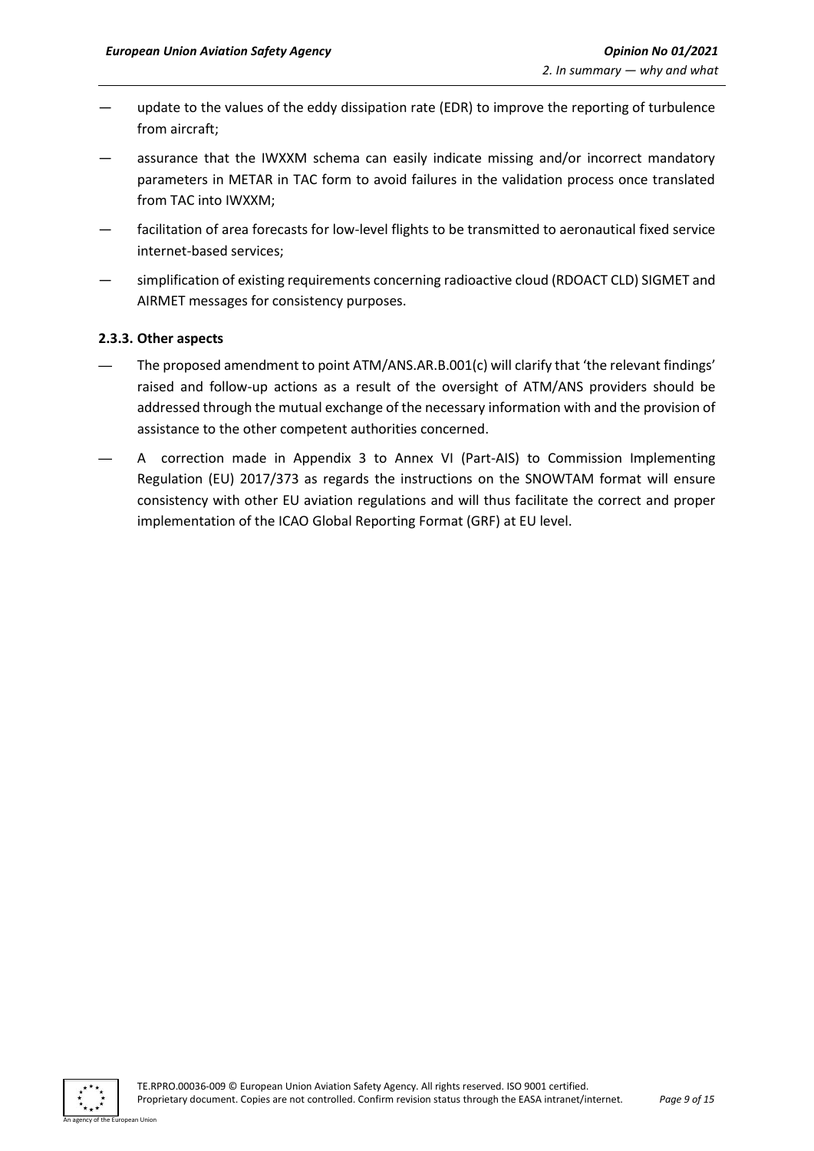- update to the values of the eddy dissipation rate (EDR) to improve the reporting of turbulence from aircraft;
- assurance that the IWXXM schema can easily indicate missing and/or incorrect mandatory parameters in METAR in TAC form to avoid failures in the validation process once translated from TAC into IWXXM;
- facilitation of area forecasts for low-level flights to be transmitted to aeronautical fixed service internet-based services;
- simplification of existing requirements concerning radioactive cloud (RDOACT CLD) SIGMET and AIRMET messages for consistency purposes.

#### <span id="page-8-0"></span>**2.3.3. Other aspects**

- The proposed amendment to point ATM/ANS.AR.B.001(c) will clarify that 'the relevant findings' raised and follow-up actions as a result of the oversight of ATM/ANS providers should be addressed through the mutual exchange of the necessary information with and the provision of assistance to the other competent authorities concerned.
- A correction made in Appendix 3 to Annex VI (Part-AIS) to Commission Implementing Regulation (EU) 2017/373 as regards the instructions on the SNOWTAM format will ensure consistency with other EU aviation regulations and will thus facilitate the correct and proper implementation of the ICAO Global Reporting Format (GRF) at EU level.

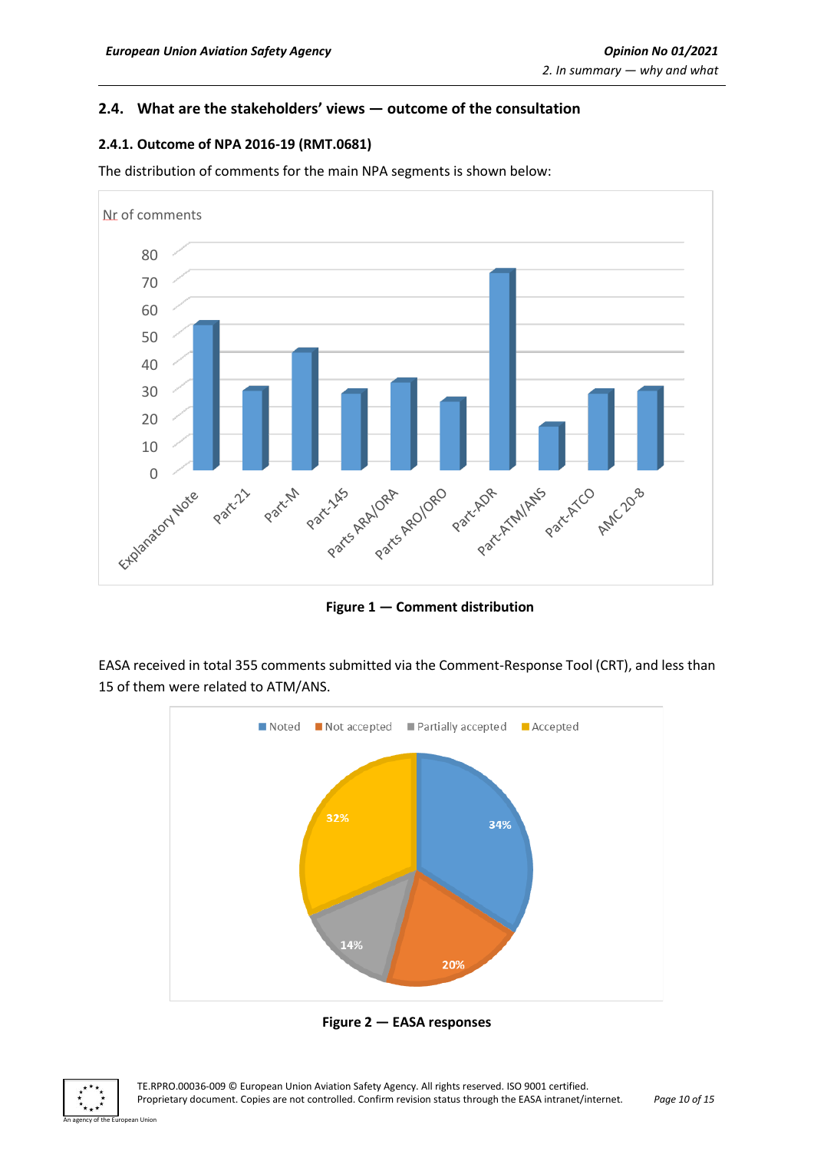# <span id="page-9-0"></span>**2.4. What are the stakeholders' views — outcome of the consultation**

## <span id="page-9-1"></span>**2.4.1. Outcome of NPA 2016-19 (RMT.0681)**

The distribution of comments for the main NPA segments is shown below:



**Figure 1 — Comment distribution**

EASA received in total 355 comments submitted via the Comment-Response Tool (CRT), and less than 15 of them were related to ATM/ANS.



**Figure 2 — EASA responses**

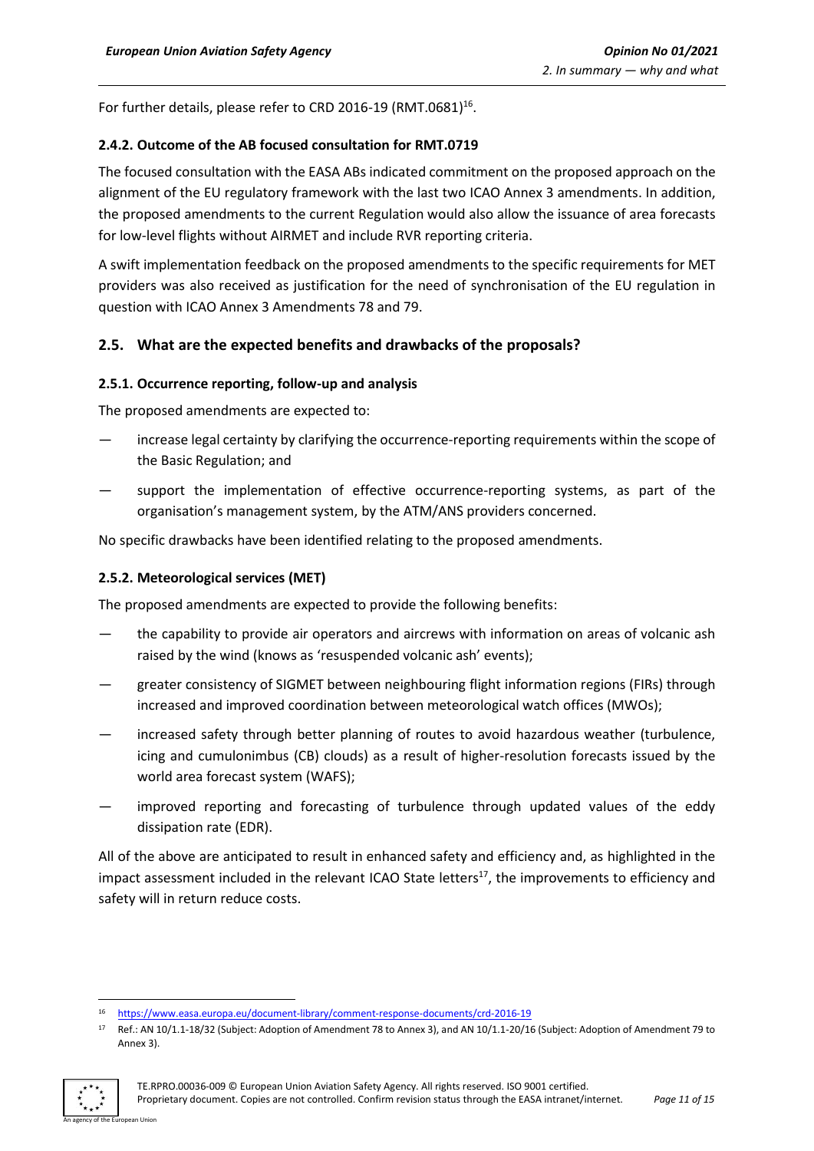For further details, please refer to CRD 2016-19 (RMT.0681)<sup>16</sup>.

#### <span id="page-10-0"></span>**2.4.2. Outcome of the AB focused consultation for RMT.0719**

The focused consultation with the EASA ABs indicated commitment on the proposed approach on the alignment of the EU regulatory framework with the last two ICAO Annex 3 amendments. In addition, the proposed amendments to the current Regulation would also allow the issuance of area forecasts for low-level flights without AIRMET and include RVR reporting criteria.

A swift implementation feedback on the proposed amendments to the specific requirements for MET providers was also received as justification for the need of synchronisation of the EU regulation in question with ICAO Annex 3 Amendments 78 and 79.

# <span id="page-10-1"></span>**2.5. What are the expected benefits and drawbacks of the proposals?**

#### <span id="page-10-2"></span>**2.5.1. Occurrence reporting, follow-up and analysis**

The proposed amendments are expected to:

- increase legal certainty by clarifying the occurrence-reporting requirements within the scope of the Basic Regulation; and
- support the implementation of effective occurrence-reporting systems, as part of the organisation's management system, by the ATM/ANS providers concerned.

No specific drawbacks have been identified relating to the proposed amendments.

#### <span id="page-10-3"></span>**2.5.2. Meteorological services (MET)**

The proposed amendments are expected to provide the following benefits:

- the capability to provide air operators and aircrews with information on areas of volcanic ash raised by the wind (knows as 'resuspended volcanic ash' events);
- greater consistency of SIGMET between neighbouring flight information regions (FIRs) through increased and improved coordination between meteorological watch offices (MWOs);
- increased safety through better planning of routes to avoid hazardous weather (turbulence, icing and cumulonimbus (CB) clouds) as a result of higher-resolution forecasts issued by the world area forecast system (WAFS);
- improved reporting and forecasting of turbulence through updated values of the eddy dissipation rate (EDR).

All of the above are anticipated to result in enhanced safety and efficiency and, as highlighted in the impact assessment included in the relevant ICAO State letters<sup>17</sup>, the improvements to efficiency and safety will in return reduce costs.

<sup>17</sup> Ref.: AN 10/1.1-18/32 (Subject: Adoption of Amendment 78 to Annex 3), and AN 10/1.1-20/16 (Subject: Adoption of Amendment 79 to Annex 3).



<sup>16</sup> <https://www.easa.europa.eu/document-library/comment-response-documents/crd-2016-19>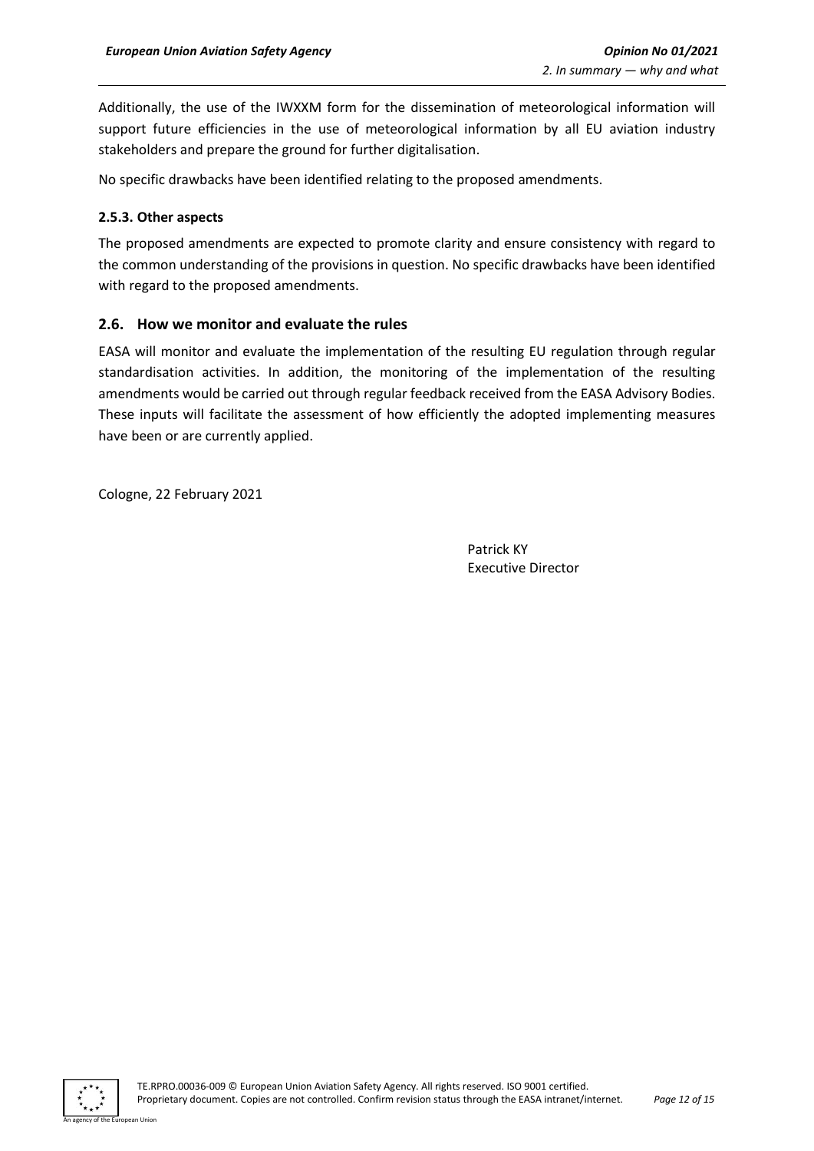Additionally, the use of the IWXXM form for the dissemination of meteorological information will support future efficiencies in the use of meteorological information by all EU aviation industry stakeholders and prepare the ground for further digitalisation.

No specific drawbacks have been identified relating to the proposed amendments.

#### <span id="page-11-0"></span>**2.5.3. Other aspects**

The proposed amendments are expected to promote clarity and ensure consistency with regard to the common understanding of the provisions in question. No specific drawbacks have been identified with regard to the proposed amendments.

## <span id="page-11-1"></span>**2.6. How we monitor and evaluate the rules**

EASA will monitor and evaluate the implementation of the resulting EU regulation through regular standardisation activities. In addition, the monitoring of the implementation of the resulting amendments would be carried out through regular feedback received from the EASA Advisory Bodies. These inputs will facilitate the assessment of how efficiently the adopted implementing measures have been or are currently applied.

Cologne, 22 February 2021

Patrick KY Executive Director

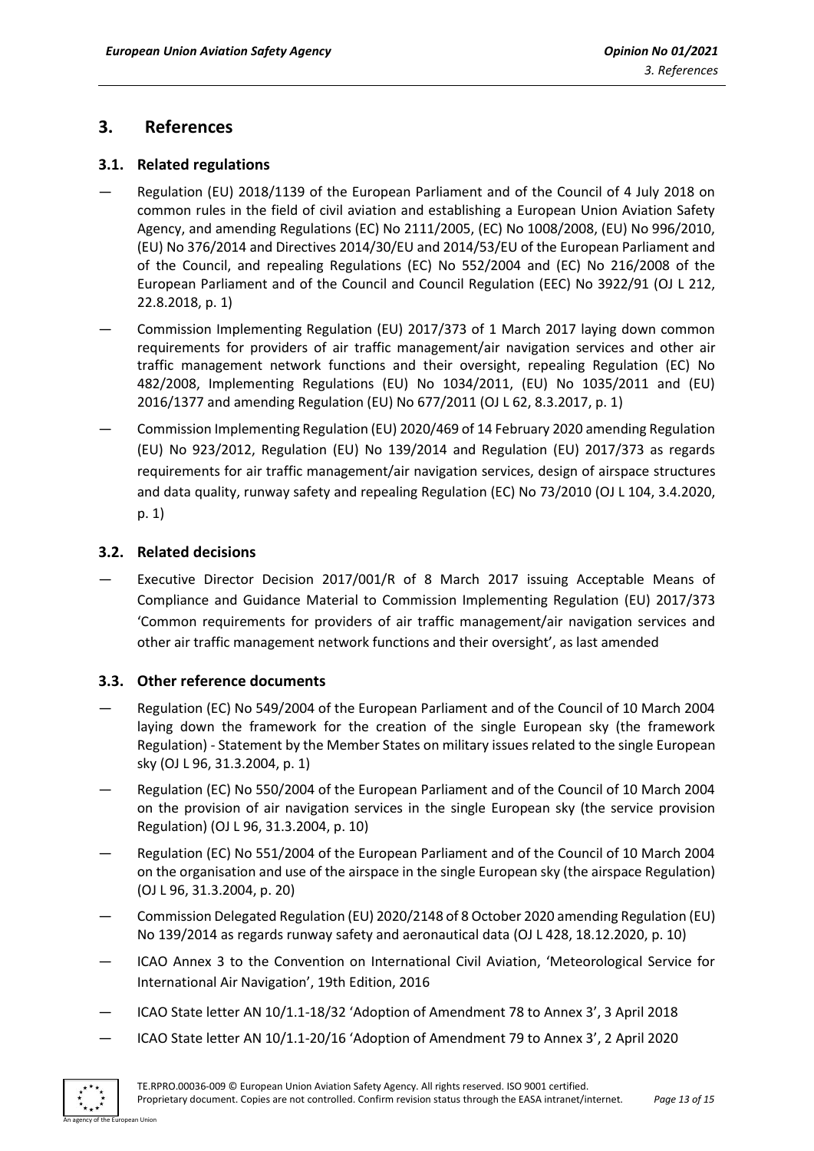# <span id="page-12-0"></span>**3. References**

# <span id="page-12-1"></span>**3.1. Related regulations**

- Regulation (EU) 2018/1139 of the European Parliament and of the Council of 4 July 2018 on common rules in the field of civil aviation and establishing a European Union Aviation Safety Agency, and amending Regulations (EC) No 2111/2005, (EC) No 1008/2008, (EU) No 996/2010, (EU) No 376/2014 and Directives 2014/30/EU and 2014/53/EU of the European Parliament and of the Council, and repealing Regulations (EC) No 552/2004 and (EC) No 216/2008 of the European Parliament and of the Council and Council Regulation (EEC) No 3922/91 (OJ L 212, 22.8.2018, p. 1)
- Commission Implementing Regulation (EU) 2017/373 of 1 March 2017 laying down common requirements for providers of air traffic management/air navigation services and other air traffic management network functions and their oversight, repealing Regulation (EC) No 482/2008, Implementing Regulations (EU) No 1034/2011, (EU) No 1035/2011 and (EU) 2016/1377 and amending Regulation (EU) No 677/2011 (OJ L 62, 8.3.2017, p. 1)
- Commission Implementing Regulation (EU) 2020/469 of 14 February 2020 amending Regulation (EU) No 923/2012, Regulation (EU) No 139/2014 and Regulation (EU) 2017/373 as regards requirements for air traffic management/air navigation services, design of airspace structures and data quality, runway safety and repealing Regulation (EC) No 73/2010 (OJ L 104, 3.4.2020, p. 1)

# <span id="page-12-2"></span>**3.2. Related decisions**

Executive Director Decision 2017/001/R of 8 March 2017 issuing Acceptable Means of Compliance and Guidance Material to Commission Implementing Regulation (EU) 2017/373 'Common requirements for providers of air traffic management/air navigation services and other air traffic management network functions and their oversight', as last amended

# <span id="page-12-3"></span>**3.3. Other reference documents**

- Regulation (EC) No 549/2004 of the European Parliament and of the Council of 10 March 2004 laying down the framework for the creation of the single European sky (the framework Regulation) - Statement by the Member States on military issues related to the single European sky (OJ L 96, 31.3.2004, p. 1)
- Regulation (EC) No 550/2004 of the European Parliament and of the Council of 10 March 2004 on the provision of air navigation services in the single European sky (the service provision Regulation) (OJ L 96, 31.3.2004, p. 10)
- Regulation (EC) No 551/2004 of the European Parliament and of the Council of 10 March 2004 on the organisation and use of the airspace in the single European sky (the airspace Regulation) (OJ L 96, 31.3.2004, p. 20)
- Commission Delegated Regulation (EU) 2020/2148 of 8 October 2020 amending Regulation (EU) No 139/2014 as regards runway safety and aeronautical data (OJ L 428, 18.12.2020, p. 10)
- ICAO Annex 3 to the Convention on International Civil Aviation, 'Meteorological Service for International Air Navigation', 19th Edition, 2016
- ICAO State letter AN 10/1.1-18/32 'Adoption of Amendment 78 to Annex 3', 3 April 2018
- ICAO State letter AN 10/1.1-20/16 'Adoption of Amendment 79 to Annex 3', 2 April 2020

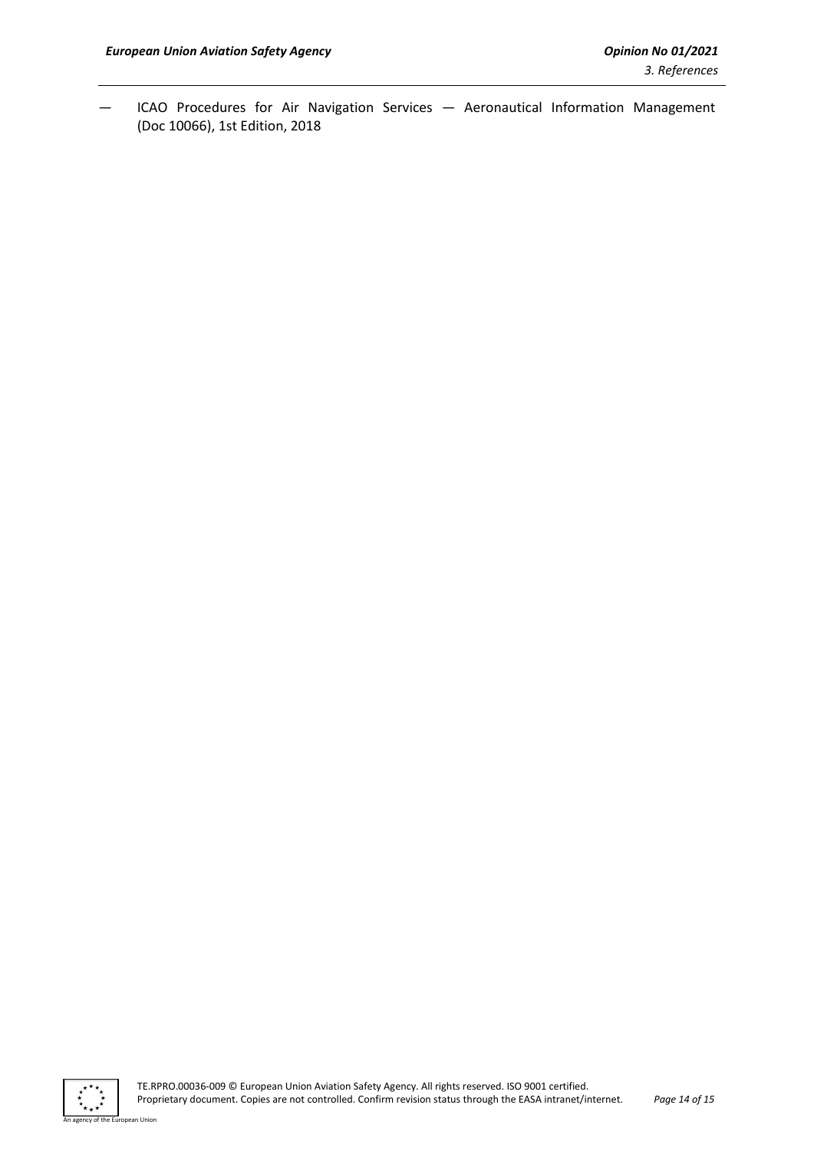— ICAO Procedures for Air Navigation Services — Aeronautical Information Management (Doc 10066), 1st Edition, 2018



an Union